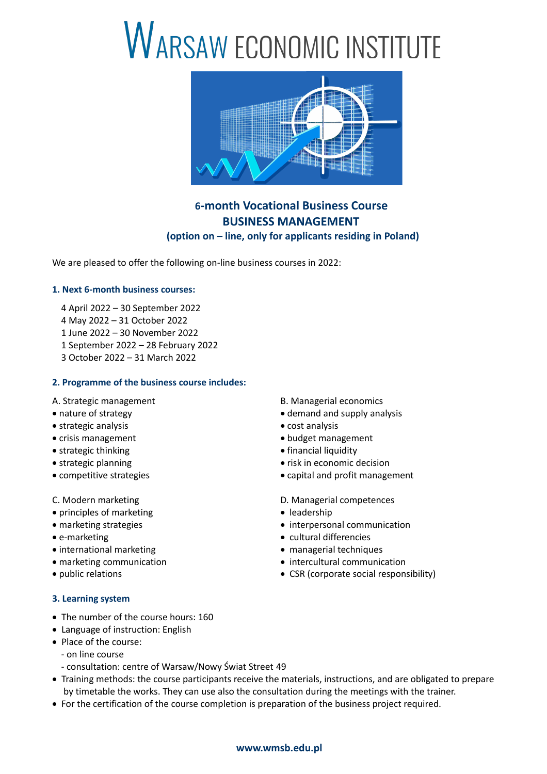# WARSAW ECONOMIC INSTITUTE



## **6-month Vocational Business Course BUSINESS MANAGEMENT (option on – line, only for applicants residing in Poland)**

We are pleased to offer the following on-line business courses in 2022:

#### **1. Next 6-month business courses:**

- 4 April 2022 30 September 2022
- 4 May 2022 31 October 2022
- 1 June 2022 30 November 2022
- 1 September 2022 28 February 2022
- 3 October 2022 31 March 2022

#### **2. Programme of the business course includes:**

- 
- strategic analysis **cost analysis** cost analysis
- 
- strategic thinking  $\bullet$  financial liquidity
- 
- 
- 
- principles of marketing and the set of the leadership
- 
- 
- international marketing managerial techniques
- 
- 

#### **3. Learning system**

- The number of the course hours: 160
- Language of instruction: English
- Place of the course:
	- on line course
	- consultation: centre of Warsaw/Nowy Świat Street 49
- Training methods: the course participants receive the materials, instructions, and are obligated to prepare by timetable the works. They can use also the consultation during the meetings with the trainer.
- For the certification of the course completion is preparation of the business project required.

### A. Strategic management and all the B. Managerial economics

- nature of strategy analysis **because that the strategy** demand and supply analysis
	-
- crisis management **budget management budget management** 
	-
- strategic planning extrategic planning extrategic planning
- competitive strategies **capital and profit management**
- C. Modern marketing and the competences of D. Managerial competences
	-
- marketing strategies **interpersonal communication**
- e-marketing example and the cultural differencies
	-
- marketing communication **intercultural communication intercultural communication**
- public relations CSR (corporate social responsibility)

#### **www.wmsb.edu.pl**